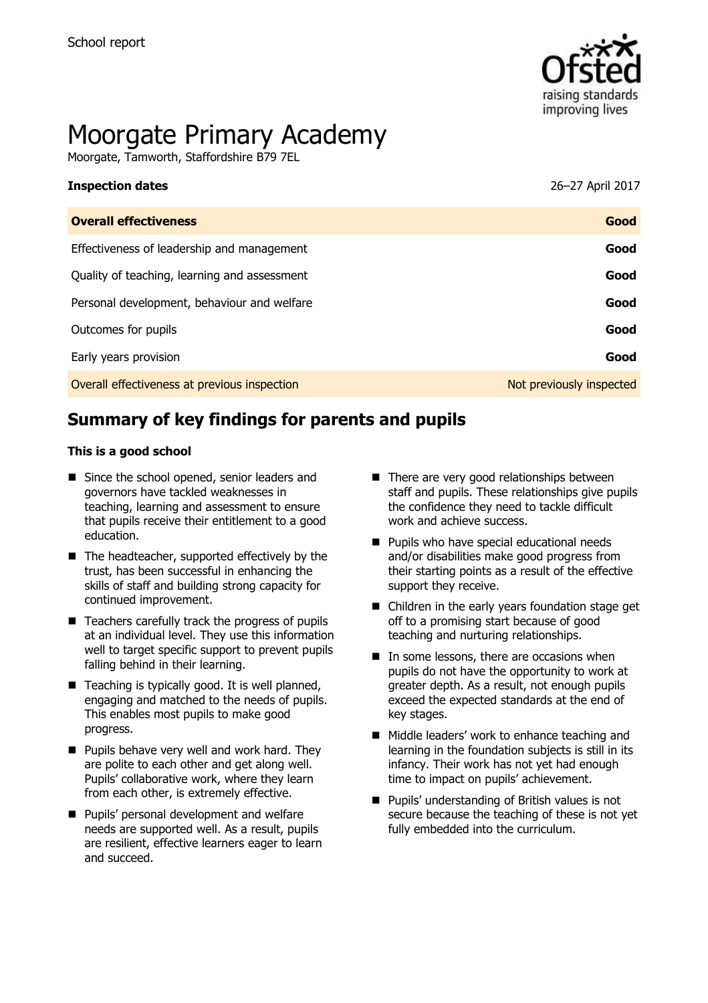

# Moorgate Primary Academy

Moorgate, Tamworth, Staffordshire B79 7EL

| <b>Inspection dates</b>                      | 26–27 April 2017         |
|----------------------------------------------|--------------------------|
| <b>Overall effectiveness</b>                 | Good                     |
| Effectiveness of leadership and management   | Good                     |
| Quality of teaching, learning and assessment | Good                     |
| Personal development, behaviour and welfare  | Good                     |
| Outcomes for pupils                          | Good                     |
| Early years provision                        | Good                     |
| Overall effectiveness at previous inspection | Not previously inspected |
|                                              |                          |

# **Summary of key findings for parents and pupils**

#### **This is a good school**

- Since the school opened, senior leaders and governors have tackled weaknesses in teaching, learning and assessment to ensure that pupils receive their entitlement to a good education.
- The headteacher, supported effectively by the trust, has been successful in enhancing the skills of staff and building strong capacity for continued improvement.
- Teachers carefully track the progress of pupils at an individual level. They use this information well to target specific support to prevent pupils falling behind in their learning.
- Teaching is typically good. It is well planned, engaging and matched to the needs of pupils. This enables most pupils to make good progress.
- $\blacksquare$  Pupils behave very well and work hard. They are polite to each other and get along well. Pupils' collaborative work, where they learn from each other, is extremely effective.
- **Pupils' personal development and welfare** needs are supported well. As a result, pupils are resilient, effective learners eager to learn and succeed.
- There are very good relationships between staff and pupils. These relationships give pupils the confidence they need to tackle difficult work and achieve success.
- **Pupils who have special educational needs** and/or disabilities make good progress from their starting points as a result of the effective support they receive.
- Children in the early years foundation stage get off to a promising start because of good teaching and nurturing relationships.
- In some lessons, there are occasions when pupils do not have the opportunity to work at greater depth. As a result, not enough pupils exceed the expected standards at the end of key stages.
- Middle leaders' work to enhance teaching and learning in the foundation subjects is still in its infancy. Their work has not yet had enough time to impact on pupils' achievement.
- **Pupils' understanding of British values is not** secure because the teaching of these is not yet fully embedded into the curriculum.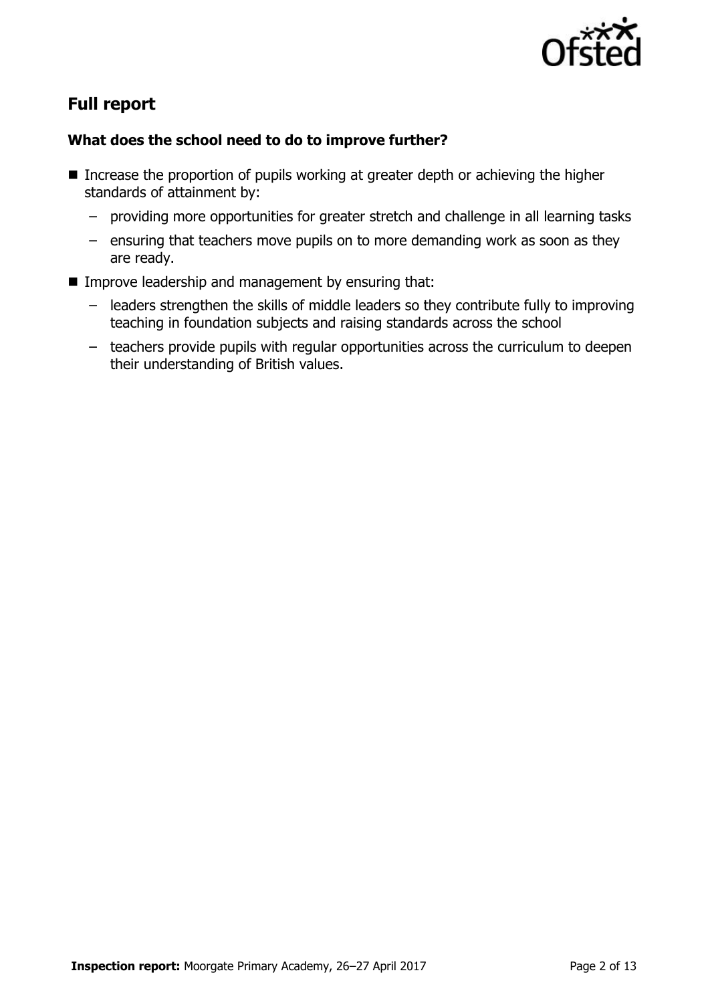

# **Full report**

#### **What does the school need to do to improve further?**

- Increase the proportion of pupils working at greater depth or achieving the higher standards of attainment by:
	- providing more opportunities for greater stretch and challenge in all learning tasks
	- ensuring that teachers move pupils on to more demanding work as soon as they are ready.
- $\blacksquare$  Improve leadership and management by ensuring that:
	- leaders strengthen the skills of middle leaders so they contribute fully to improving teaching in foundation subjects and raising standards across the school
	- teachers provide pupils with regular opportunities across the curriculum to deepen their understanding of British values.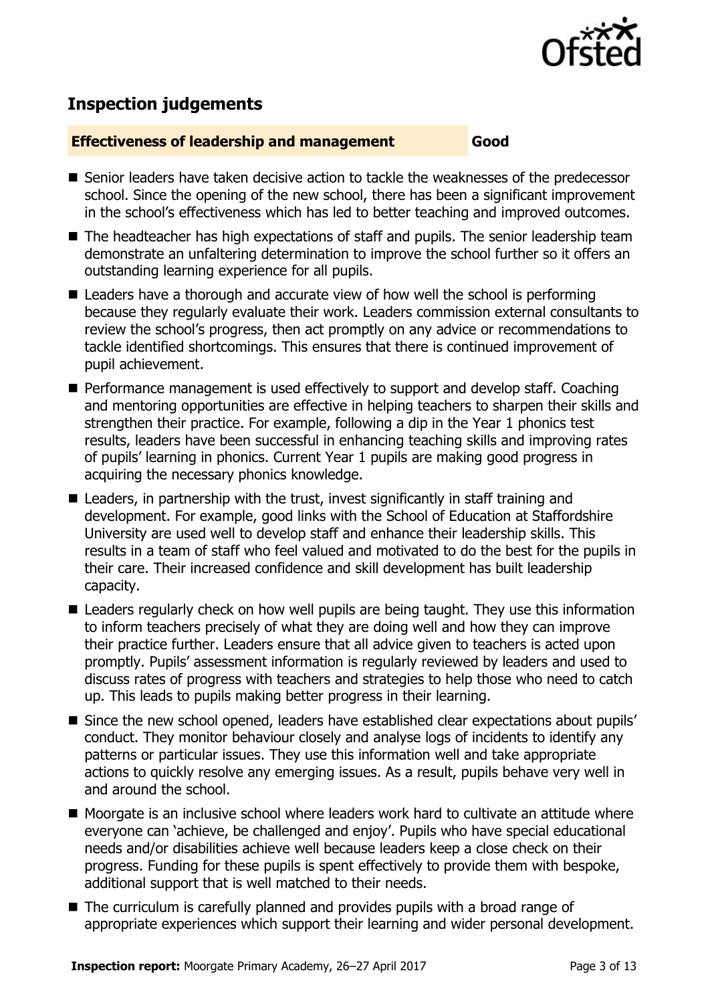

# **Inspection judgements**

#### **Effectiveness of leadership and management Good**

- Senior leaders have taken decisive action to tackle the weaknesses of the predecessor school. Since the opening of the new school, there has been a significant improvement in the school's effectiveness which has led to better teaching and improved outcomes.
- The headteacher has high expectations of staff and pupils. The senior leadership team demonstrate an unfaltering determination to improve the school further so it offers an outstanding learning experience for all pupils.
- Leaders have a thorough and accurate view of how well the school is performing because they regularly evaluate their work. Leaders commission external consultants to review the school's progress, then act promptly on any advice or recommendations to tackle identified shortcomings. This ensures that there is continued improvement of pupil achievement.
- **Performance management is used effectively to support and develop staff. Coaching** and mentoring opportunities are effective in helping teachers to sharpen their skills and strengthen their practice. For example, following a dip in the Year 1 phonics test results, leaders have been successful in enhancing teaching skills and improving rates of pupils' learning in phonics. Current Year 1 pupils are making good progress in acquiring the necessary phonics knowledge.
- Leaders, in partnership with the trust, invest significantly in staff training and development. For example, good links with the School of Education at Staffordshire University are used well to develop staff and enhance their leadership skills. This results in a team of staff who feel valued and motivated to do the best for the pupils in their care. Their increased confidence and skill development has built leadership capacity.
- Leaders regularly check on how well pupils are being taught. They use this information to inform teachers precisely of what they are doing well and how they can improve their practice further. Leaders ensure that all advice given to teachers is acted upon promptly. Pupils' assessment information is regularly reviewed by leaders and used to discuss rates of progress with teachers and strategies to help those who need to catch up. This leads to pupils making better progress in their learning.
- Since the new school opened, leaders have established clear expectations about pupils' conduct. They monitor behaviour closely and analyse logs of incidents to identify any patterns or particular issues. They use this information well and take appropriate actions to quickly resolve any emerging issues. As a result, pupils behave very well in and around the school.
- Moorgate is an inclusive school where leaders work hard to cultivate an attitude where everyone can 'achieve, be challenged and enjoy'. Pupils who have special educational needs and/or disabilities achieve well because leaders keep a close check on their progress. Funding for these pupils is spent effectively to provide them with bespoke, additional support that is well matched to their needs.
- The curriculum is carefully planned and provides pupils with a broad range of appropriate experiences which support their learning and wider personal development.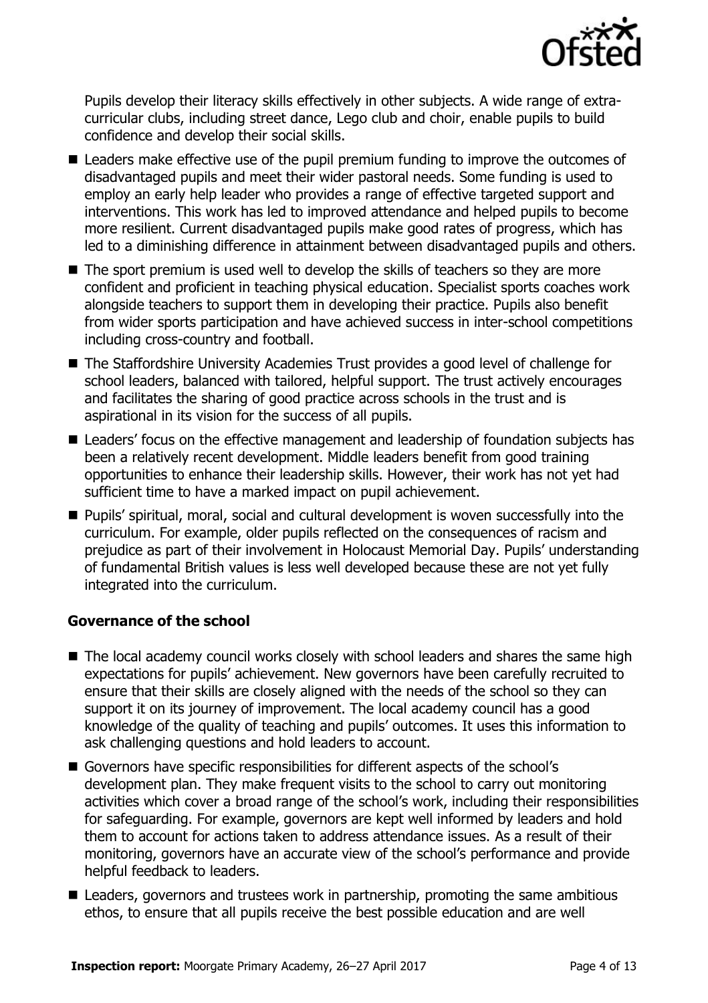

Pupils develop their literacy skills effectively in other subjects. A wide range of extracurricular clubs, including street dance, Lego club and choir, enable pupils to build confidence and develop their social skills.

- Leaders make effective use of the pupil premium funding to improve the outcomes of disadvantaged pupils and meet their wider pastoral needs. Some funding is used to employ an early help leader who provides a range of effective targeted support and interventions. This work has led to improved attendance and helped pupils to become more resilient. Current disadvantaged pupils make good rates of progress, which has led to a diminishing difference in attainment between disadvantaged pupils and others.
- $\blacksquare$  The sport premium is used well to develop the skills of teachers so they are more confident and proficient in teaching physical education. Specialist sports coaches work alongside teachers to support them in developing their practice. Pupils also benefit from wider sports participation and have achieved success in inter-school competitions including cross-country and football.
- The Staffordshire University Academies Trust provides a good level of challenge for school leaders, balanced with tailored, helpful support. The trust actively encourages and facilitates the sharing of good practice across schools in the trust and is aspirational in its vision for the success of all pupils.
- Leaders' focus on the effective management and leadership of foundation subjects has been a relatively recent development. Middle leaders benefit from good training opportunities to enhance their leadership skills. However, their work has not yet had sufficient time to have a marked impact on pupil achievement.
- Pupils' spiritual, moral, social and cultural development is woven successfully into the curriculum. For example, older pupils reflected on the consequences of racism and prejudice as part of their involvement in Holocaust Memorial Day. Pupils' understanding of fundamental British values is less well developed because these are not yet fully integrated into the curriculum.

#### **Governance of the school**

- The local academy council works closely with school leaders and shares the same high expectations for pupils' achievement. New governors have been carefully recruited to ensure that their skills are closely aligned with the needs of the school so they can support it on its journey of improvement. The local academy council has a good knowledge of the quality of teaching and pupils' outcomes. It uses this information to ask challenging questions and hold leaders to account.
- Governors have specific responsibilities for different aspects of the school's development plan. They make frequent visits to the school to carry out monitoring activities which cover a broad range of the school's work, including their responsibilities for safeguarding. For example, governors are kept well informed by leaders and hold them to account for actions taken to address attendance issues. As a result of their monitoring, governors have an accurate view of the school's performance and provide helpful feedback to leaders.
- Leaders, governors and trustees work in partnership, promoting the same ambitious ethos, to ensure that all pupils receive the best possible education and are well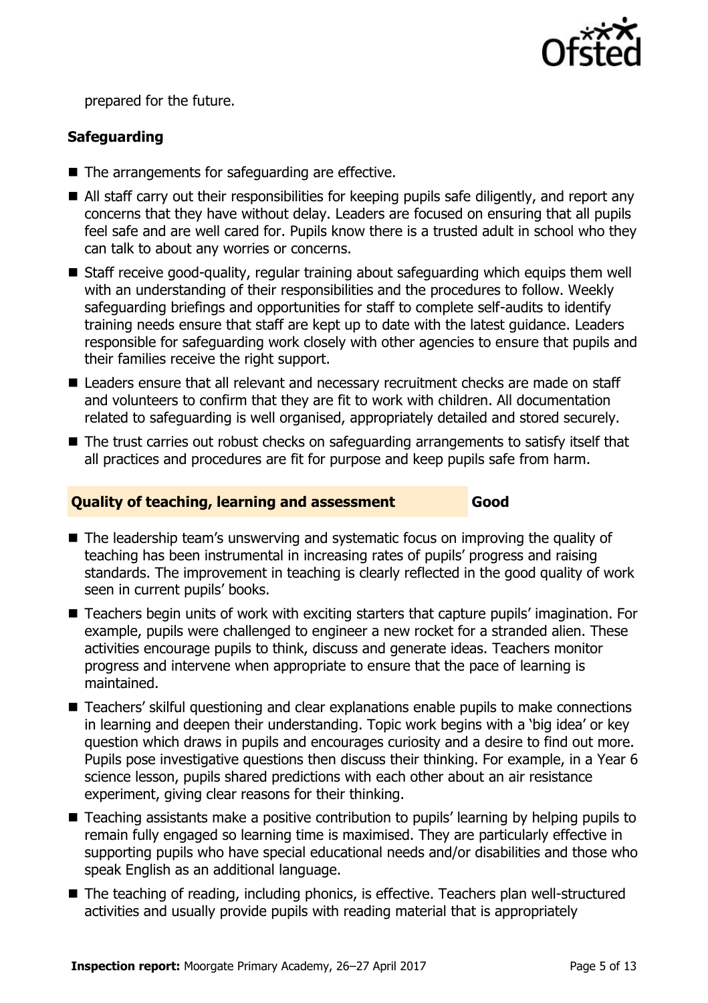

prepared for the future.

### **Safeguarding**

- The arrangements for safeguarding are effective.
- All staff carry out their responsibilities for keeping pupils safe diligently, and report any concerns that they have without delay. Leaders are focused on ensuring that all pupils feel safe and are well cared for. Pupils know there is a trusted adult in school who they can talk to about any worries or concerns.
- Staff receive good-quality, regular training about safeguarding which equips them well with an understanding of their responsibilities and the procedures to follow. Weekly safeguarding briefings and opportunities for staff to complete self-audits to identify training needs ensure that staff are kept up to date with the latest guidance. Leaders responsible for safeguarding work closely with other agencies to ensure that pupils and their families receive the right support.
- Leaders ensure that all relevant and necessary recruitment checks are made on staff and volunteers to confirm that they are fit to work with children. All documentation related to safeguarding is well organised, appropriately detailed and stored securely.
- The trust carries out robust checks on safeguarding arrangements to satisfy itself that all practices and procedures are fit for purpose and keep pupils safe from harm.

#### **Quality of teaching, learning and assessment Good**

- The leadership team's unswerving and systematic focus on improving the quality of teaching has been instrumental in increasing rates of pupils' progress and raising standards. The improvement in teaching is clearly reflected in the good quality of work seen in current pupils' books.
- Teachers begin units of work with exciting starters that capture pupils' imagination. For example, pupils were challenged to engineer a new rocket for a stranded alien. These activities encourage pupils to think, discuss and generate ideas. Teachers monitor progress and intervene when appropriate to ensure that the pace of learning is maintained.
- Teachers' skilful questioning and clear explanations enable pupils to make connections in learning and deepen their understanding. Topic work begins with a 'big idea' or key question which draws in pupils and encourages curiosity and a desire to find out more. Pupils pose investigative questions then discuss their thinking. For example, in a Year 6 science lesson, pupils shared predictions with each other about an air resistance experiment, giving clear reasons for their thinking.
- Teaching assistants make a positive contribution to pupils' learning by helping pupils to remain fully engaged so learning time is maximised. They are particularly effective in supporting pupils who have special educational needs and/or disabilities and those who speak English as an additional language.
- The teaching of reading, including phonics, is effective. Teachers plan well-structured activities and usually provide pupils with reading material that is appropriately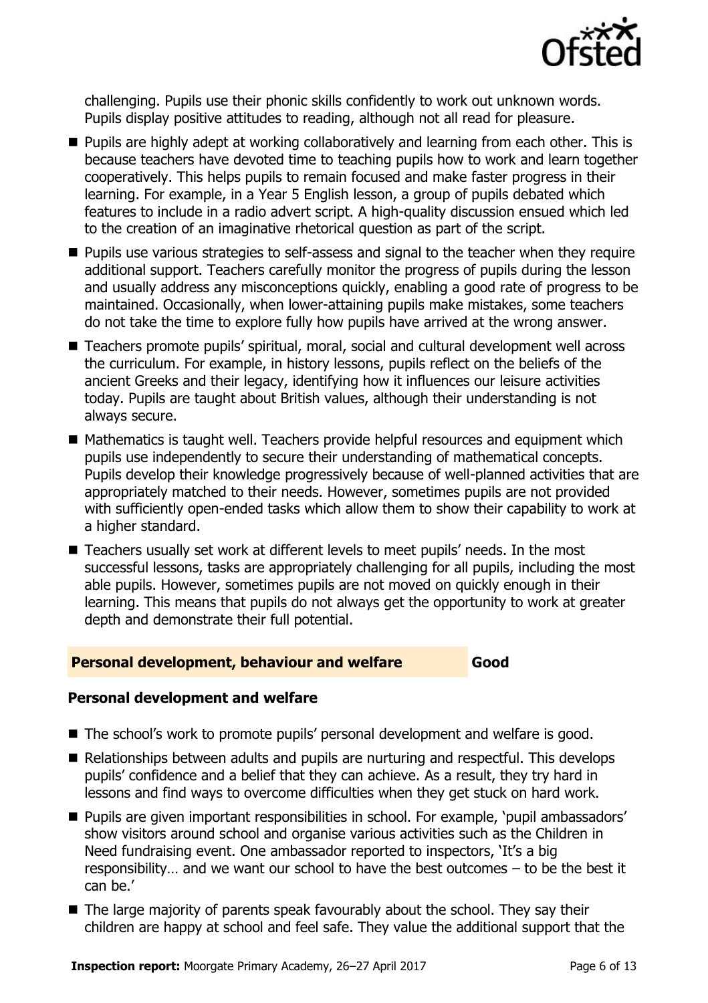

challenging. Pupils use their phonic skills confidently to work out unknown words. Pupils display positive attitudes to reading, although not all read for pleasure.

- **Pupils are highly adept at working collaboratively and learning from each other. This is** because teachers have devoted time to teaching pupils how to work and learn together cooperatively. This helps pupils to remain focused and make faster progress in their learning. For example, in a Year 5 English lesson, a group of pupils debated which features to include in a radio advert script. A high-quality discussion ensued which led to the creation of an imaginative rhetorical question as part of the script.
- **Pupils use various strategies to self-assess and signal to the teacher when they require** additional support. Teachers carefully monitor the progress of pupils during the lesson and usually address any misconceptions quickly, enabling a good rate of progress to be maintained. Occasionally, when lower-attaining pupils make mistakes, some teachers do not take the time to explore fully how pupils have arrived at the wrong answer.
- Teachers promote pupils' spiritual, moral, social and cultural development well across the curriculum. For example, in history lessons, pupils reflect on the beliefs of the ancient Greeks and their legacy, identifying how it influences our leisure activities today. Pupils are taught about British values, although their understanding is not always secure.
- Mathematics is taught well. Teachers provide helpful resources and equipment which pupils use independently to secure their understanding of mathematical concepts. Pupils develop their knowledge progressively because of well-planned activities that are appropriately matched to their needs. However, sometimes pupils are not provided with sufficiently open-ended tasks which allow them to show their capability to work at a higher standard.
- Teachers usually set work at different levels to meet pupils' needs. In the most successful lessons, tasks are appropriately challenging for all pupils, including the most able pupils. However, sometimes pupils are not moved on quickly enough in their learning. This means that pupils do not always get the opportunity to work at greater depth and demonstrate their full potential.

#### **Personal development, behaviour and welfare Good**

#### **Personal development and welfare**

- The school's work to promote pupils' personal development and welfare is good.
- Relationships between adults and pupils are nurturing and respectful. This develops pupils' confidence and a belief that they can achieve. As a result, they try hard in lessons and find ways to overcome difficulties when they get stuck on hard work.
- **Pupils are given important responsibilities in school. For example, 'pupil ambassadors'** show visitors around school and organise various activities such as the Children in Need fundraising event. One ambassador reported to inspectors, 'It's a big responsibility… and we want our school to have the best outcomes – to be the best it can be.'
- The large majority of parents speak favourably about the school. They say their children are happy at school and feel safe. They value the additional support that the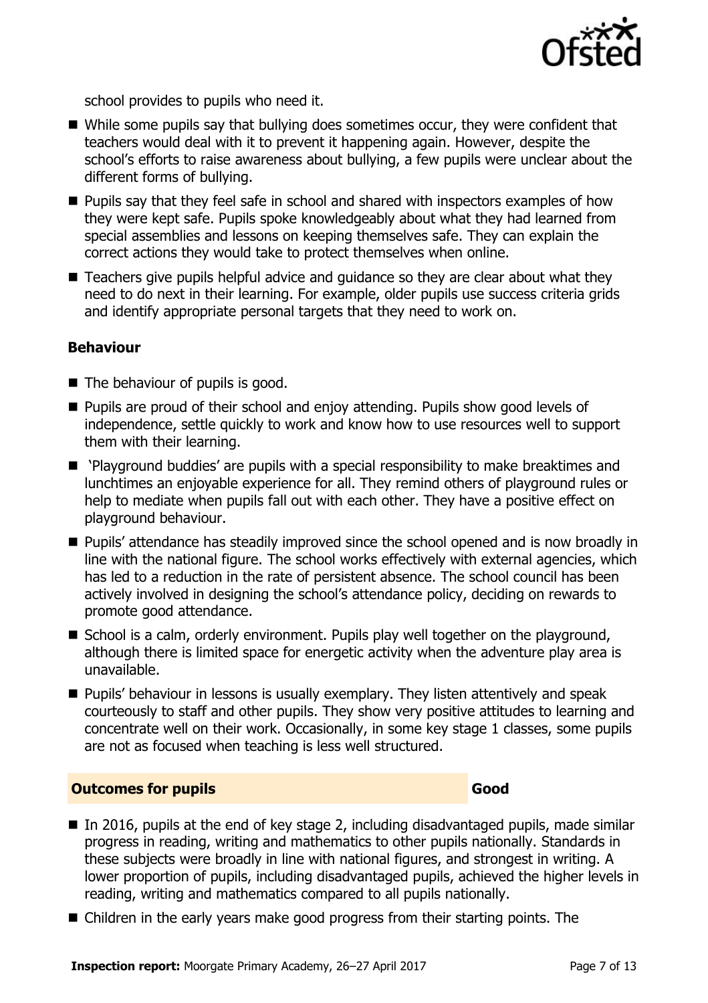

school provides to pupils who need it.

- While some pupils say that bullying does sometimes occur, they were confident that teachers would deal with it to prevent it happening again. However, despite the school's efforts to raise awareness about bullying, a few pupils were unclear about the different forms of bullying.
- $\blacksquare$  Pupils say that they feel safe in school and shared with inspectors examples of how they were kept safe. Pupils spoke knowledgeably about what they had learned from special assemblies and lessons on keeping themselves safe. They can explain the correct actions they would take to protect themselves when online.
- Teachers give pupils helpful advice and guidance so they are clear about what they need to do next in their learning. For example, older pupils use success criteria grids and identify appropriate personal targets that they need to work on.

#### **Behaviour**

- The behaviour of pupils is good.
- **Pupils are proud of their school and enjoy attending. Pupils show good levels of** independence, settle quickly to work and know how to use resources well to support them with their learning.
- 'Playground buddies' are pupils with a special responsibility to make breaktimes and lunchtimes an enjoyable experience for all. They remind others of playground rules or help to mediate when pupils fall out with each other. They have a positive effect on playground behaviour.
- **Pupils' attendance has steadily improved since the school opened and is now broadly in** line with the national figure. The school works effectively with external agencies, which has led to a reduction in the rate of persistent absence. The school council has been actively involved in designing the school's attendance policy, deciding on rewards to promote good attendance.
- School is a calm, orderly environment. Pupils play well together on the playground, although there is limited space for energetic activity when the adventure play area is unavailable.
- **Pupils' behaviour in lessons is usually exemplary. They listen attentively and speak** courteously to staff and other pupils. They show very positive attitudes to learning and concentrate well on their work. Occasionally, in some key stage 1 classes, some pupils are not as focused when teaching is less well structured.

#### **Outcomes for pupils Good**

- In 2016, pupils at the end of key stage 2, including disadvantaged pupils, made similar progress in reading, writing and mathematics to other pupils nationally. Standards in these subjects were broadly in line with national figures, and strongest in writing. A lower proportion of pupils, including disadvantaged pupils, achieved the higher levels in reading, writing and mathematics compared to all pupils nationally.
- Children in the early years make good progress from their starting points. The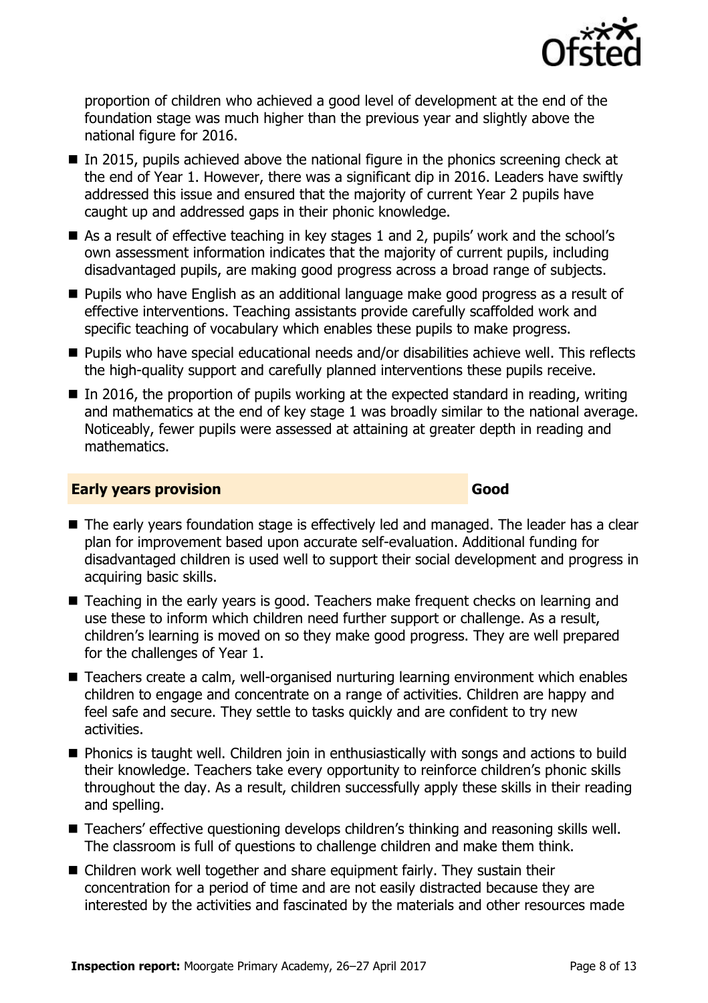

proportion of children who achieved a good level of development at the end of the foundation stage was much higher than the previous year and slightly above the national figure for 2016.

- $\blacksquare$  In 2015, pupils achieved above the national figure in the phonics screening check at the end of Year 1. However, there was a significant dip in 2016. Leaders have swiftly addressed this issue and ensured that the majority of current Year 2 pupils have caught up and addressed gaps in their phonic knowledge.
- As a result of effective teaching in key stages 1 and 2, pupils' work and the school's own assessment information indicates that the majority of current pupils, including disadvantaged pupils, are making good progress across a broad range of subjects.
- **Pupils who have English as an additional language make good progress as a result of** effective interventions. Teaching assistants provide carefully scaffolded work and specific teaching of vocabulary which enables these pupils to make progress.
- Pupils who have special educational needs and/or disabilities achieve well. This reflects the high-quality support and carefully planned interventions these pupils receive.
- $\blacksquare$  In 2016, the proportion of pupils working at the expected standard in reading, writing and mathematics at the end of key stage 1 was broadly similar to the national average. Noticeably, fewer pupils were assessed at attaining at greater depth in reading and mathematics.

#### **Early years provision Good Good**

- The early years foundation stage is effectively led and managed. The leader has a clear plan for improvement based upon accurate self-evaluation. Additional funding for disadvantaged children is used well to support their social development and progress in acquiring basic skills.
- Teaching in the early years is good. Teachers make frequent checks on learning and use these to inform which children need further support or challenge. As a result, children's learning is moved on so they make good progress. They are well prepared for the challenges of Year 1.
- Teachers create a calm, well-organised nurturing learning environment which enables children to engage and concentrate on a range of activities. Children are happy and feel safe and secure. They settle to tasks quickly and are confident to try new activities.
- **Phonics is taught well. Children join in enthusiastically with songs and actions to build** their knowledge. Teachers take every opportunity to reinforce children's phonic skills throughout the day. As a result, children successfully apply these skills in their reading and spelling.
- Teachers' effective questioning develops children's thinking and reasoning skills well. The classroom is full of questions to challenge children and make them think.
- Children work well together and share equipment fairly. They sustain their concentration for a period of time and are not easily distracted because they are interested by the activities and fascinated by the materials and other resources made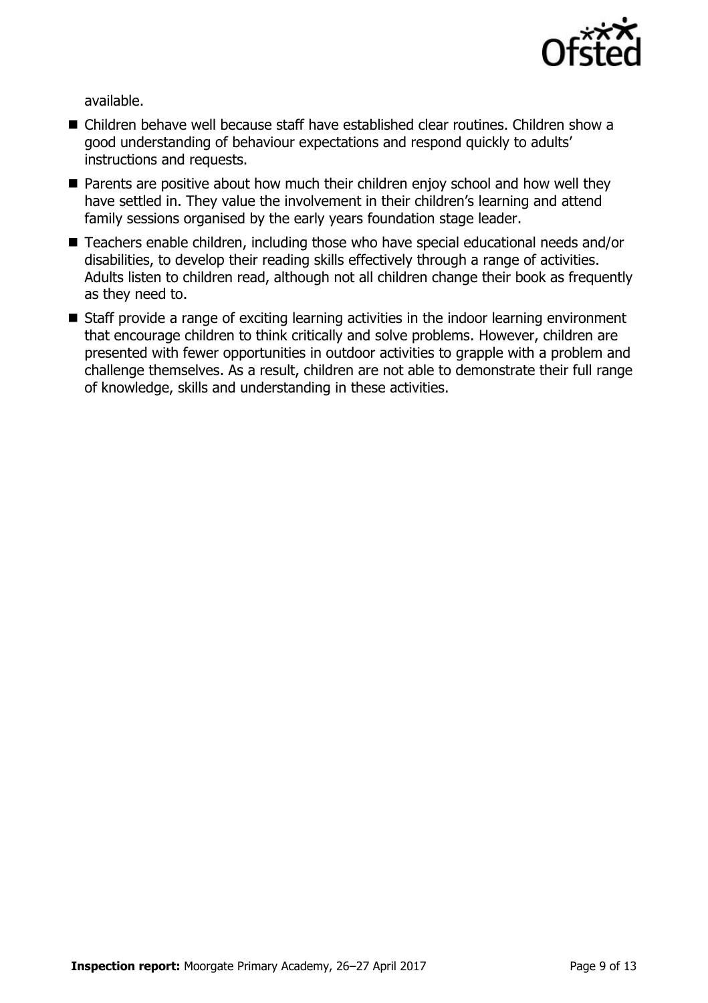

available.

- Children behave well because staff have established clear routines. Children show a good understanding of behaviour expectations and respond quickly to adults' instructions and requests.
- **Parents are positive about how much their children enjoy school and how well they** have settled in. They value the involvement in their children's learning and attend family sessions organised by the early years foundation stage leader.
- Teachers enable children, including those who have special educational needs and/or disabilities, to develop their reading skills effectively through a range of activities. Adults listen to children read, although not all children change their book as frequently as they need to.
- Staff provide a range of exciting learning activities in the indoor learning environment that encourage children to think critically and solve problems. However, children are presented with fewer opportunities in outdoor activities to grapple with a problem and challenge themselves. As a result, children are not able to demonstrate their full range of knowledge, skills and understanding in these activities.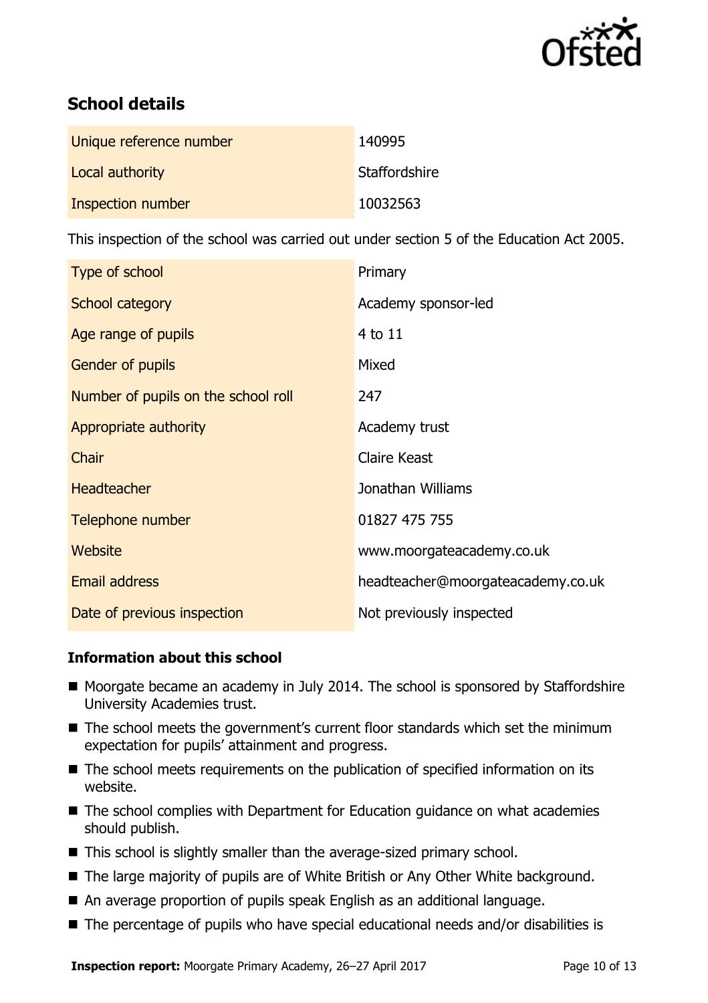

# **School details**

| Unique reference number | 140995        |
|-------------------------|---------------|
| Local authority         | Staffordshire |
| Inspection number       | 10032563      |

This inspection of the school was carried out under section 5 of the Education Act 2005.

| Type of school                      | Primary                           |
|-------------------------------------|-----------------------------------|
| <b>School category</b>              | Academy sponsor-led               |
| Age range of pupils                 | 4 to 11                           |
| Gender of pupils                    | Mixed                             |
| Number of pupils on the school roll | 247                               |
| Appropriate authority               | Academy trust                     |
| Chair                               | <b>Claire Keast</b>               |
| <b>Headteacher</b>                  | Jonathan Williams                 |
| Telephone number                    | 01827 475 755                     |
| Website                             | www.moorgateacademy.co.uk         |
| <b>Email address</b>                | headteacher@moorgateacademy.co.uk |
| Date of previous inspection         | Not previously inspected          |

#### **Information about this school**

- Moorgate became an academy in July 2014. The school is sponsored by Staffordshire University Academies trust.
- The school meets the government's current floor standards which set the minimum expectation for pupils' attainment and progress.
- The school meets requirements on the publication of specified information on its website.
- The school complies with Department for Education guidance on what academies should publish.
- This school is slightly smaller than the average-sized primary school.
- The large majority of pupils are of White British or Any Other White background.
- An average proportion of pupils speak English as an additional language.
- The percentage of pupils who have special educational needs and/or disabilities is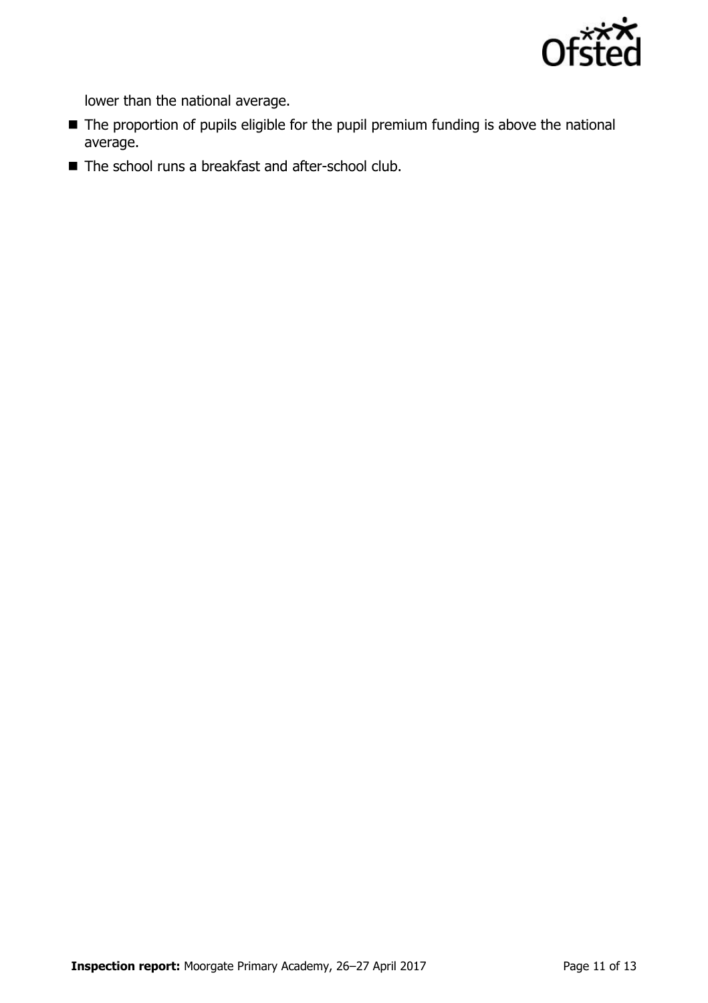

lower than the national average.

- The proportion of pupils eligible for the pupil premium funding is above the national average.
- The school runs a breakfast and after-school club.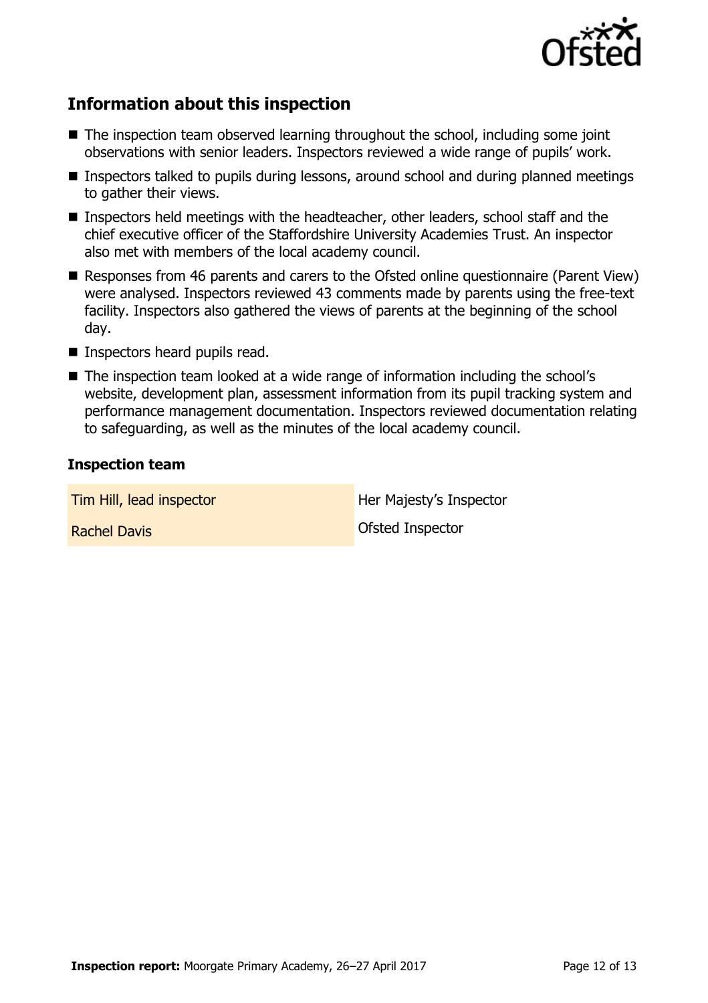

# **Information about this inspection**

- The inspection team observed learning throughout the school, including some joint observations with senior leaders. Inspectors reviewed a wide range of pupils' work.
- Inspectors talked to pupils during lessons, around school and during planned meetings to gather their views.
- Inspectors held meetings with the headteacher, other leaders, school staff and the chief executive officer of the Staffordshire University Academies Trust. An inspector also met with members of the local academy council.
- Responses from 46 parents and carers to the Ofsted online questionnaire (Parent View) were analysed. Inspectors reviewed 43 comments made by parents using the free-text facility. Inspectors also gathered the views of parents at the beginning of the school day.
- **Inspectors heard pupils read.**
- The inspection team looked at a wide range of information including the school's website, development plan, assessment information from its pupil tracking system and performance management documentation. Inspectors reviewed documentation relating to safeguarding, as well as the minutes of the local academy council.

#### **Inspection team**

**Tim Hill, lead inspector Her Majesty's Inspector Rachel Davis Contract Contract Contract Contract Contract Contract Contract Contract Contract Contract Contract Contract Contract Contract Contract Contract Contract Contract Contract Contract Contract Contract Contract**